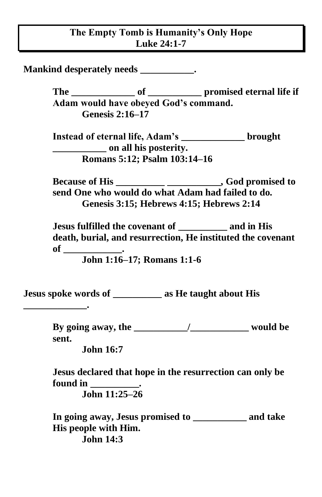## **The Empty Tomb is Humanity's Only Hope Luke 24:1-7**

**Mankind desperately needs \_\_\_\_\_\_\_\_\_\_\_.**

**The \_\_\_\_\_\_\_\_\_\_\_\_\_ of \_\_\_\_\_\_\_\_\_\_\_ promised eternal life if Adam would have obeyed God's command. Genesis 2:16–17** 

**Instead of eternal life, Adam's \_\_\_\_\_\_\_\_\_\_\_\_\_ brought \_\_\_\_\_\_\_\_\_\_\_ on all his posterity. Romans 5:12; Psalm 103:14–16** 

**Because of His \_\_\_\_\_\_\_\_\_\_ \_\_\_\_\_\_\_\_\_\_\_, God promised to send One who would do what Adam had failed to do. Genesis 3:15; Hebrews 4:15; Hebrews 2:14**

**Jesus fulfilled the covenant of \_\_\_\_\_\_\_\_\_\_ and in His death, burial, and resurrection, He instituted the covenant of \_\_\_\_\_\_\_\_\_\_\_\_.**

**John 1:16–17; Romans 1:1-6**

**Jesus spoke words of \_\_\_\_\_\_\_\_\_\_ as He taught about His** 

**By going away, the \_\_\_\_\_\_\_\_\_\_\_/\_\_\_\_\_\_\_\_\_\_\_\_ would be sent.**

**John 16:7** 

**\_\_\_\_\_\_\_\_\_\_\_\_\_.** 

**Jesus declared that hope in the resurrection can only be found in \_\_\_\_\_\_\_\_\_\_. John 11:25–26** 

**In going away, Jesus promised to \_\_\_\_\_\_\_\_\_\_\_ and take His people with Him. John 14:3**